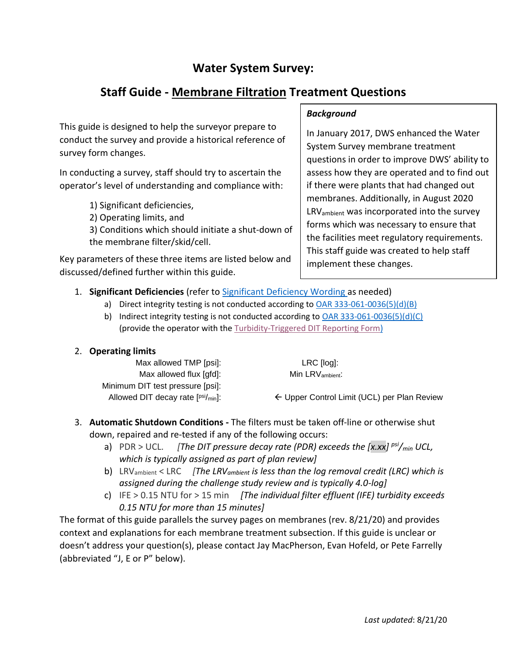# **Water System Survey:**

# **Staff Guide - Membrane Filtration Treatment Questions**

This guide is designed to help the surveyor prepare to conduct the survey and provide a historical reference of survey form changes.

In conducting a survey, staff should try to ascertain the operator's level of understanding and compliance with:

- 1) Significant deficiencies,
- 2) Operating limits, and

3) Conditions which should initiate a shut-down of the membrane filter/skid/cell.

Key parameters of these three items are listed below and discussed/defined further within this guide.

# *Background*

In January 2017, DWS enhanced the Water System Survey membrane treatment questions in order to improve DWS' ability to assess how they are operated and to find out if there were plants that had changed out membranes. Additionally, in August 2020 LRVambient was incorporated into the survey forms which was necessary to ensure that the facilities meet regulatory requirements. This staff guide was created to help staff implement these changes.

# 1. **Significant Deficiencies** (refer to [Significant Deficiency Wording](#page-15-0) as needed)

- a) Direct integrity testing is not conducted according t[o OAR 333-061-0036\(5\)\(d\)\(B\)](https://www.oregon.gov/oha/PH/HEALTHYENVIRONMENTS/DRINKINGWATER/RULES/Documents/61-0036.pdf#page=51)
- b) Indirect integrity testing is not conducted according to [OAR 333-061-0036\(5\)\(d\)\(C\)](https://www.oregon.gov/oha/PH/HEALTHYENVIRONMENTS/DRINKINGWATER/RULES/Documents/61-0036.pdf#page=53) (provide the operator with the [Turbidity-Triggered DIT Reporting Form\)](#page-16-0)

# 2. **Operating limits**

| LRC [log]:                                  |
|---------------------------------------------|
| $Min$ LRV ambient.                          |
|                                             |
| ← Upper Control Limit (UCL) per Plan Review |
|                                             |

# 3. **Automatic Shutdown Conditions -** The filters must be taken off-line or otherwise shut down, repaired and re-tested if any of the following occurs:

- a) PDR > UCL. *[The DIT pressure decay rate (PDR) exceeds the [x.xx] psi/min UCL, which is typically assigned as part of plan review]*
- b) LRVambient < LRC *[The LRVambient is less than the log removal credit (LRC) which is assigned during the challenge study review and is typically 4.0-log]*
- c) IFE > 0.15 NTU for > 15 min *[The individual filter effluent (IFE) turbidity exceeds 0.15 NTU for more than 15 minutes]*

The format of this guide parallels the survey pages on membranes (rev. 8/21/20) and provides context and explanations for each membrane treatment subsection. If this guide is unclear or doesn't address your question(s), please contact Jay MacPherson, Evan Hofeld, or Pete Farrelly (abbreviated "J, E or P" below).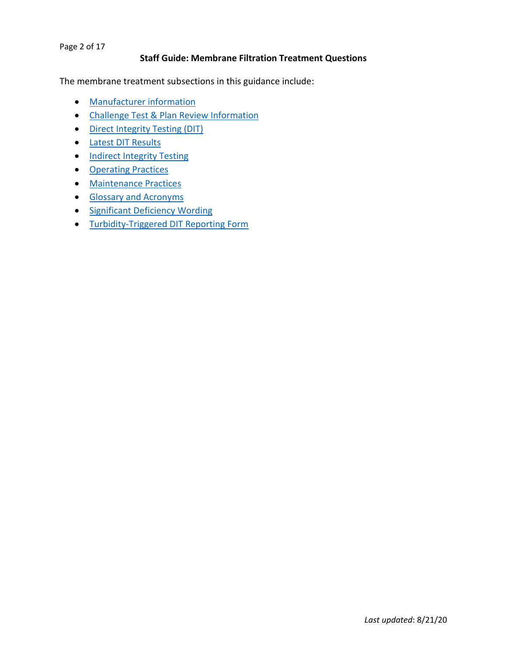#### Page 2 of 17

#### **Staff Guide: Membrane Filtration Treatment Questions**

<span id="page-1-0"></span>The membrane treatment subsections in this guidance include:

- [Manufacturer information](#page-2-0)
- [Challenge Test & Plan Review Information](#page-3-0)
- [Direct Integrity Testing \(DIT\)](#page-4-0)
- [Latest DIT Results](#page-6-0)
- [Indirect Integrity Testing](#page-7-0)
- [Operating Practices](#page-8-0)
- [Maintenance Practices](#page-9-0)
- [Glossary and Acronyms](#page-10-0)
- [Significant Deficiency Wording](#page-15-0)
- [Turbidity-Triggered DIT Reporting Form](#page-16-0)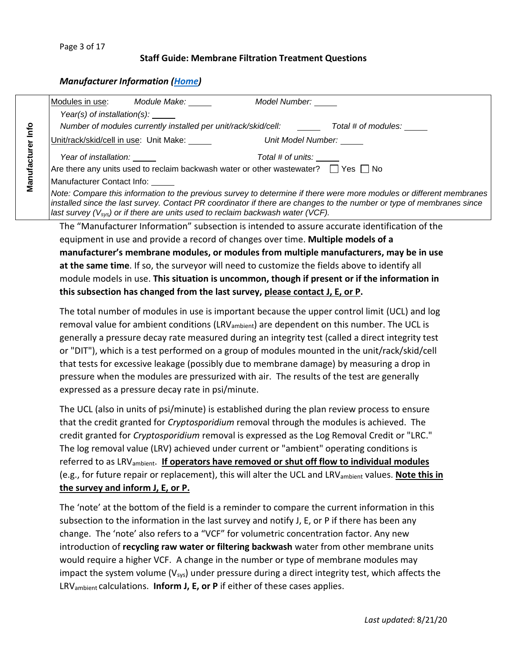## <span id="page-2-0"></span>*Manufacturer Information [\(Home\)](#page-1-0)*

|              |                                                     | Modules in use: Module Make:                                                                 | Model Number:            |                                                                                                                                                                                                                                               |
|--------------|-----------------------------------------------------|----------------------------------------------------------------------------------------------|--------------------------|-----------------------------------------------------------------------------------------------------------------------------------------------------------------------------------------------------------------------------------------------|
|              | Year(s) of installation(s): $\frac{1}{\sqrt{2\pi}}$ |                                                                                              |                          |                                                                                                                                                                                                                                               |
| Info         |                                                     |                                                                                              |                          | Number of modules currently installed per unit/rack/skid/cell: Total # of modules:                                                                                                                                                            |
|              |                                                     | Unit/rack/skid/cell in use: Unit Make:                                                       | Unit Model Number:       |                                                                                                                                                                                                                                               |
|              | Year of installation: <u>_____</u>                  |                                                                                              | Total # of units: ______ |                                                                                                                                                                                                                                               |
|              |                                                     | Are there any units used to reclaim backwash water or other wastewater? $\Box$ Yes $\Box$ No |                          |                                                                                                                                                                                                                                               |
| Manufacturer | Manufacturer Contact Info:                          |                                                                                              |                          |                                                                                                                                                                                                                                               |
|              |                                                     | last survey $(V_{sys})$ or if there are units used to reclaim backwash water (VCF).          |                          | Note: Compare this information to the previous survey to determine if there were more modules or different membranes<br>installed since the last survey. Contact PR coordinator if there are changes to the number or type of membranes since |
|              |                                                     |                                                                                              |                          | The "Manufacturer Information" subsection is intended to assure accurate identification of the                                                                                                                                                |
|              |                                                     | equipment in use and provide a record of changes over time. <b>Multiple models of a</b>      |                          |                                                                                                                                                                                                                                               |
|              |                                                     |                                                                                              |                          | $\sim$ . The set of the set of the set of the set of the set of the set of the set of the set of the set of the set of the set of the set of the set of the set of the set of the set of the set of the set of the set of the s               |

**manufacturer's membrane modules, or modules from multiple manufacturers, may be in use at the same time**. If so, the surveyor will need to customize the fields above to identify all module models in use. **This situation is uncommon, though if present or if the information in this subsection has changed from the last survey, please contact J, E, or P.**

The total number of modules in use is important because the upper control limit (UCL) and log removal value for ambient conditions (LRV<sub>ambient</sub>) are dependent on this number. The UCL is generally a pressure decay rate measured during an integrity test (called a direct integrity test or "DIT"), which is a test performed on a group of modules mounted in the unit/rack/skid/cell that tests for excessive leakage (possibly due to membrane damage) by measuring a drop in pressure when the modules are pressurized with air. The results of the test are generally expressed as a pressure decay rate in psi/minute.

The UCL (also in units of psi/minute) is established during the plan review process to ensure that the credit granted for *Cryptosporidium* removal through the modules is achieved. The credit granted for *Cryptosporidium* removal is expressed as the Log Removal Credit or "LRC." The log removal value (LRV) achieved under current or "ambient" operating conditions is referred to as LRVambient. **If operators have removed or shut off flow to individual modules** (e.g., for future repair or replacement), this will alter the UCL and LRVambient values. **Note this in the survey and inform J, E, or P.**

The 'note' at the bottom of the field is a reminder to compare the current information in this subsection to the information in the last survey and notify J, E, or P if there has been any change. The 'note' also refers to a "VCF" for volumetric concentration factor. Any new introduction of **recycling raw water or filtering backwash** water from other membrane units would require a higher VCF. A change in the number or type of membrane modules may impact the system volume  $(V_{sys})$  under pressure during a direct integrity test, which affects the LRVambient calculations. **Inform J, E, or P** if either of these cases applies.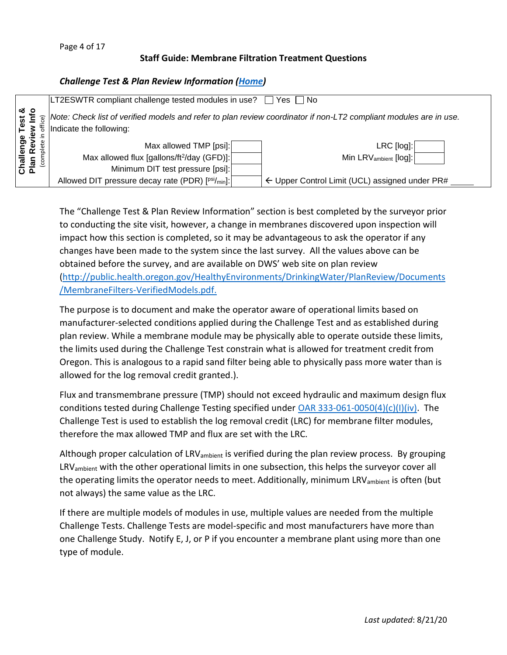# <span id="page-3-0"></span>*Challenge Test & Plan Review Information [\(Home\)](#page-1-0)*

|                        |    | LT2ESWTR compliant challenge tested modules in use?    | Yes IINo<br>$\perp$                                                                                               |
|------------------------|----|--------------------------------------------------------|-------------------------------------------------------------------------------------------------------------------|
| ∣ ∞ ဝ<br>គ្គ<br>ស្ថិតិ | G) | Indicate the following:                                | Note: Check list of verified models and refer to plan review coordinator if non-LT2 compliant modules are in use. |
|                        |    | Max allowed TMP [psi]:                                 | LRC [log]:                                                                                                        |
|                        |    | Max allowed flux [gallons/ft <sup>2</sup> /day (GFD)]: | Min LRV <sub>ambient</sub> [log]:                                                                                 |
| 은 등                    |    | Minimum DIT test pressure [psi]:                       |                                                                                                                   |
|                        |    | Allowed DIT pressure decay rate (PDR) [psi/min]:       | $\leftarrow$ Upper Control Limit (UCL) assigned under PR#                                                         |

The "Challenge Test & Plan Review Information" section is best completed by the surveyor prior to conducting the site visit, however, a change in membranes discovered upon inspection will impact how this section is completed, so it may be advantageous to ask the operator if any changes have been made to the system since the last survey. All the values above can be obtained before the survey, and are available on DWS' web site on plan review [\(http://public.health.oregon.gov/HealthyEnvironments/DrinkingWater/PlanReview/Documents](http://public.health.oregon.gov/HealthyEnvironments/DrinkingWater/PlanReview/Documents/MembraneFilters-VerifiedModels.pdf) [/MembraneFilters-VerifiedModels.pdf.](http://public.health.oregon.gov/HealthyEnvironments/DrinkingWater/PlanReview/Documents/MembraneFilters-VerifiedModels.pdf)

The purpose is to document and make the operator aware of operational limits based on manufacturer-selected conditions applied during the Challenge Test and as established during plan review. While a membrane module may be physically able to operate outside these limits, the limits used during the Challenge Test constrain what is allowed for treatment credit from Oregon. This is analogous to a rapid sand filter being able to physically pass more water than is allowed for the log removal credit granted.).

Flux and transmembrane pressure (TMP) should not exceed hydraulic and maximum design flux conditions tested during Challenge Testing specified under [OAR 333-061-0050\(4\)\(c\)\(I\)\(iv\).](https://www.oregon.gov/oha/PH/HEALTHYENVIRONMENTS/DRINKINGWATER/RULES/Documents/61-0050.pdf#page=12) The Challenge Test is used to establish the log removal credit (LRC) for membrane filter modules, therefore the max allowed TMP and flux are set with the LRC.

Although proper calculation of  $LRV_{ambient}$  is verified during the plan review process. By grouping LRV<sub>ambient</sub> with the other operational limits in one subsection, this helps the surveyor cover all the operating limits the operator needs to meet. Additionally, minimum LRV<sub>ambient</sub> is often (but not always) the same value as the LRC.

If there are multiple models of modules in use, multiple values are needed from the multiple Challenge Tests. Challenge Tests are model-specific and most manufacturers have more than one Challenge Study. Notify E, J, or P if you encounter a membrane plant using more than one type of module.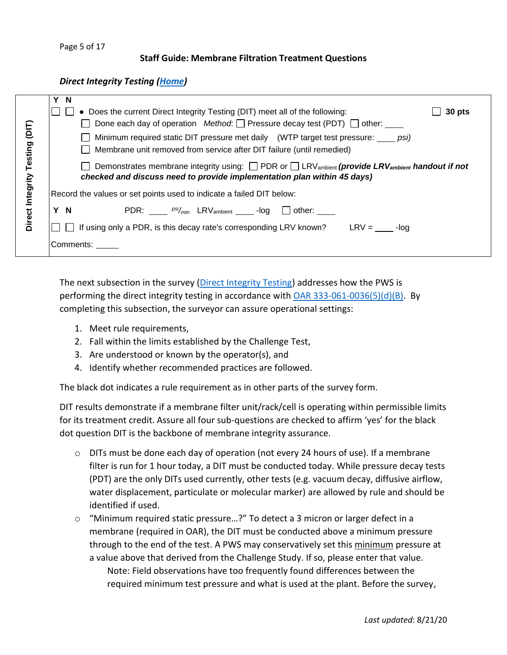Page 5 of 17

#### **Staff Guide: Membrane Filtration Treatment Questions**

<span id="page-4-0"></span>*Direct Integrity Testing [\(Home\)](#page-1-0)*

|               | <b>N</b><br>• Does the current Direct Integrity Testing (DIT) meet all of the following:<br>30 pts                                                                                                         |
|---------------|------------------------------------------------------------------------------------------------------------------------------------------------------------------------------------------------------------|
| (DIT)         | Done each day of operation Method: $\Box$ Pressure decay test (PDT) $\Box$ other:<br>Minimum required static DIT pressure met daily (WTP target test pressure: psi)                                        |
| Testing       | Membrane unit removed from service after DIT failure (until remedied)<br>Demonstrates membrane integrity using: $\Box$ PDR or $\Box$ LRV <sub>ambient</sub> (provide LRV <sub>ambient</sub> handout if not |
| Integrity     | checked and discuss need to provide implementation plan within 45 days)<br>Record the values or set points used to indicate a failed DIT below:                                                            |
| <b>Direct</b> | $\mathsf{PDR}\colon \_\_\_p^{psi}/_{\mathsf{min}}$ LRV <sub>ambient</sub> _____-log $\_\_\_\_$ other: _____<br>Y N                                                                                         |
|               | If using only a PDR, is this decay rate's corresponding LRV known? LRV = $\_\_\_\_$ -log                                                                                                                   |
|               | Comments:                                                                                                                                                                                                  |

The next subsection in the survey [\(Direct Integrity Testing\)](#page-4-0) addresses how the PWS is performing the direct integrity testing in accordance with [OAR 333-061-0036\(5\)\(d\)\(B\).](http://public.health.oregon.gov/HealthyEnvironments/DrinkingWater/Rules/Documents/61-0036.pdf#page=51) By completing this subsection, the surveyor can assure operational settings:

- 1. Meet rule requirements,
- 2. Fall within the limits established by the Challenge Test,
- 3. Are understood or known by the operator(s), and
- 4. Identify whether recommended practices are followed.

The black dot indicates a rule requirement as in other parts of the survey form.

DIT results demonstrate if a membrane filter unit/rack/cell is operating within permissible limits for its treatment credit. Assure all four sub-questions are checked to affirm 'yes' for the black dot question DIT is the backbone of membrane integrity assurance.

- o DITs must be done each day of operation (not every 24 hours of use). If a membrane filter is run for 1 hour today, a DIT must be conducted today. While pressure decay tests (PDT) are the only DITs used currently, other tests (e.g. vacuum decay, diffusive airflow, water displacement, particulate or molecular marker) are allowed by rule and should be identified if used.
- o "Minimum required static pressure…?" To detect a 3 micron or larger defect in a membrane (required in OAR), the DIT must be conducted above a minimum pressure through to the end of the test. A PWS may conservatively set this minimum pressure at a value above that derived from the Challenge Study. If so, please enter that value. Note: Field observations have too frequently found differences between the required minimum test pressure and what is used at the plant. Before the survey,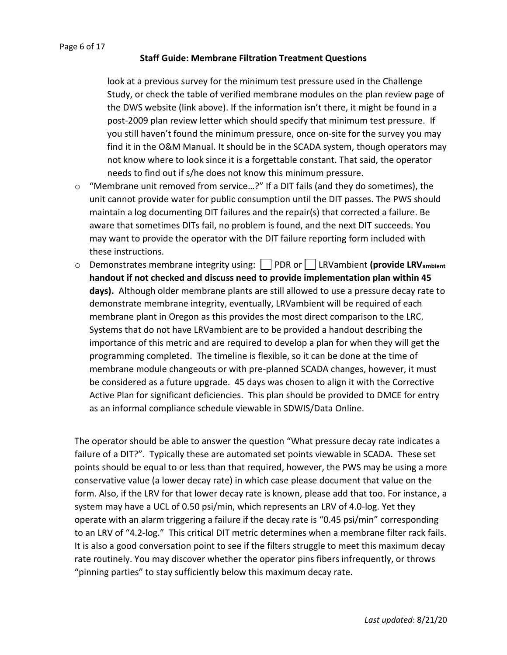look at a previous survey for the minimum test pressure used in the Challenge Study, or check the table of verified membrane modules on the plan review page of the DWS website (link above). If the information isn't there, it might be found in a post-2009 plan review letter which should specify that minimum test pressure. If you still haven't found the minimum pressure, once on-site for the survey you may find it in the O&M Manual. It should be in the SCADA system, though operators may not know where to look since it is a forgettable constant. That said, the operator needs to find out if s/he does not know this minimum pressure.

- o "Membrane unit removed from service…?" If a DIT fails (and they do sometimes), the unit cannot provide water for public consumption until the DIT passes. The PWS should maintain a log documenting DIT failures and the repair(s) that corrected a failure. Be aware that sometimes DITs fail, no problem is found, and the next DIT succeeds. You may want to provide the operator with the DIT failure reporting form included with these instructions.
- o Demonstrates membrane integrity using: PDR or LRVambient **(provide LRVambient handout if not checked and discuss need to provide implementation plan within 45 days).** Although older membrane plants are still allowed to use a pressure decay rate to demonstrate membrane integrity, eventually, LRVambient will be required of each membrane plant in Oregon as this provides the most direct comparison to the LRC. Systems that do not have LRVambient are to be provided a handout describing the importance of this metric and are required to develop a plan for when they will get the programming completed. The timeline is flexible, so it can be done at the time of membrane module changeouts or with pre-planned SCADA changes, however, it must be considered as a future upgrade. 45 days was chosen to align it with the Corrective Active Plan for significant deficiencies. This plan should be provided to DMCE for entry as an informal compliance schedule viewable in SDWIS/Data Online.

The operator should be able to answer the question "What pressure decay rate indicates a failure of a DIT?". Typically these are automated set points viewable in SCADA. These set points should be equal to or less than that required, however, the PWS may be using a more conservative value (a lower decay rate) in which case please document that value on the form. Also, if the LRV for that lower decay rate is known, please add that too. For instance, a system may have a UCL of 0.50 psi/min, which represents an LRV of 4.0-log. Yet they operate with an alarm triggering a failure if the decay rate is "0.45 psi/min" corresponding to an LRV of "4.2-log." This critical DIT metric determines when a membrane filter rack fails. It is also a good conversation point to see if the filters struggle to meet this maximum decay rate routinely. You may discover whether the operator pins fibers infrequently, or throws "pinning parties" to stay sufficiently below this maximum decay rate.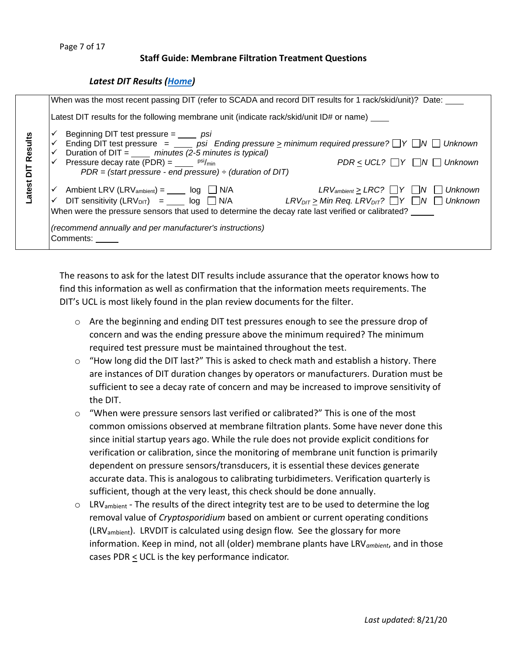## <span id="page-6-0"></span>*Latest DIT Results [\(Home\)](#page-1-0)*

|        | When was the most recent passing DIT (refer to SCADA and record DIT results for 1 rack/skid/unit)? Date:                                                                                                                                                                                                                                                                                                                                                                                     |
|--------|----------------------------------------------------------------------------------------------------------------------------------------------------------------------------------------------------------------------------------------------------------------------------------------------------------------------------------------------------------------------------------------------------------------------------------------------------------------------------------------------|
|        | Latest DIT results for the following membrane unit (indicate rack/skid/unit $ID#$ or name) ____                                                                                                                                                                                                                                                                                                                                                                                              |
| Resi   | Beginning DIT test pressure $=$ _____ psi<br>Ending DIT test pressure $=$ _____ psi Ending pressure $\geq$ minimum required pressure? $\Box Y \Box N \Box$ Unknown<br>✓<br>Duration of DIT = $\frac{m}{100}$ minutes (2-5 minutes is typical)<br>✓<br>$PDR \le UCL$ ? $\Box Y$ $\Box N$ $\Box$ Unknown<br>$\checkmark$ Pressure decay rate (PDR) = $\frac{\text{psi}}{\text{psi}}$ psi/min<br>$PDR = (start pressure - end pressure) \div (duration of DIT)$                                 |
| -atest | $LRV_{ambient} \geq LRC? \quad \Box Y \quad \Box N \quad \Box$ Unknown<br>$\checkmark$ Ambient LRV (LRV <sub>ambient</sub> ) = _____ log $\Box$ N/A<br>$\checkmark$ DIT sensitivity (LRV <sub>DIT</sub> ) = log $\Box$ N/A LRV <sub>DIT</sub> > Min Req. LRV <sub>DIT</sub> ? $\Box$ Y $\Box$ N $\Box$ Unknown<br>When were the pressure sensors that used to determine the decay rate last verified or calibrated?<br>(recommend annually and per manufacturer's instructions)<br>Comments: |

The reasons to ask for the latest DIT results include assurance that the operator knows how to find this information as well as confirmation that the information meets requirements. The DIT's UCL is most likely found in the plan review documents for the filter.

- $\circ$  Are the beginning and ending DIT test pressures enough to see the pressure drop of concern and was the ending pressure above the minimum required? The minimum required test pressure must be maintained throughout the test.
- $\circ$  "How long did the DIT last?" This is asked to check math and establish a history. There are instances of DIT duration changes by operators or manufacturers. Duration must be sufficient to see a decay rate of concern and may be increased to improve sensitivity of the DIT.
- $\circ$  "When were pressure sensors last verified or calibrated?" This is one of the most common omissions observed at membrane filtration plants. Some have never done this since initial startup years ago. While the rule does not provide explicit conditions for verification or calibration, since the monitoring of membrane unit function is primarily dependent on pressure sensors/transducers, it is essential these devices generate accurate data. This is analogous to calibrating turbidimeters. Verification quarterly is sufficient, though at the very least, this check should be done annually.
- $\circ$  LRV<sub>ambient</sub> The results of the direct integrity test are to be used to determine the log removal value of *Cryptosporidium* based on ambient or current operating conditions (LRVambient). LRVDIT is calculated using design flow. See the glossary for more information. Keep in mind, not all (older) membrane plants have LRV*ambient*, and in those cases PDR  $\leq$  UCL is the key performance indicator.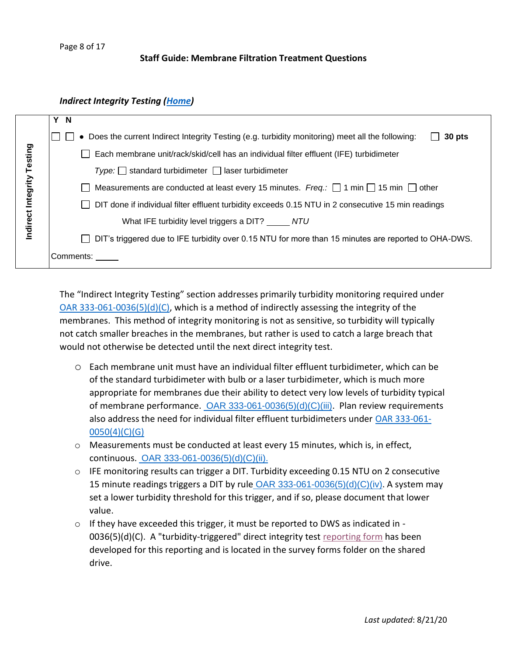#### <span id="page-7-0"></span>*Indirect Integrity Testing [\(Home\)](#page-1-0)*

|                   | Y N                                                                                                                    |  |  |  |  |  |
|-------------------|------------------------------------------------------------------------------------------------------------------------|--|--|--|--|--|
|                   | Does the current Indirect Integrity Testing (e.g. turbidity monitoring) meet all the following:<br>30 pts<br>$\bullet$ |  |  |  |  |  |
| Integrity Testing | Each membrane unit/rack/skid/cell has an individual filter effluent (IFE) turbidimeter                                 |  |  |  |  |  |
|                   | $Type:$ standard turbidimeter $\Box$ laser turbidimeter                                                                |  |  |  |  |  |
|                   | Measurements are conducted at least every 15 minutes. Freq.: $\Box$ 1 min $\Box$ 15 min $\Box$ other                   |  |  |  |  |  |
|                   | DIT done if individual filter effluent turbidity exceeds 0.15 NTU in 2 consecutive 15 min readings                     |  |  |  |  |  |
| ndirect           | What IFE turbidity level triggers a DIT? _____ NTU                                                                     |  |  |  |  |  |
|                   | DIT's triggered due to IFE turbidity over 0.15 NTU for more than 15 minutes are reported to OHA-DWS.                   |  |  |  |  |  |
|                   | Comments:                                                                                                              |  |  |  |  |  |

The "Indirect Integrity Testing" section addresses primarily turbidity monitoring required under [OAR 333-061-0036\(5\)\(d\)\(C\),](http://public.health.oregon.gov/HealthyEnvironments/DrinkingWater/Rules/Documents/61-0036.pdf#page=53) which is a method of indirectly assessing the integrity of the membranes. This method of integrity monitoring is not as sensitive, so turbidity will typically not catch smaller breaches in the membranes, but rather is used to catch a large breach that would not otherwise be detected until the next direct integrity test.

- o Each membrane unit must have an individual filter effluent turbidimeter, which can be of the standard turbidimeter with bulb or a laser turbidimeter, which is much more appropriate for membranes due their ability to detect very low levels of turbidity typical of membrane performance. [OAR 333-061-0036\(5\)\(d\)\(C\)\(iii\)](http://public.health.oregon.gov/HealthyEnvironments/DrinkingWater/Rules/Documents/61-0036.pdf#page=53). Plan review requirements also address the need for individual filter effluent turbidimeters under [OAR 333-061-](https://www.oregon.gov/oha/PH/HEALTHYENVIRONMENTS/DRINKINGWATER/RULES/Documents/61-0050.pdf#page=11) [0050\(4\)\(C\)\(G\)](https://www.oregon.gov/oha/PH/HEALTHYENVIRONMENTS/DRINKINGWATER/RULES/Documents/61-0050.pdf#page=11)
- o Measurements must be conducted at least every 15 minutes, which is, in effect, continuous. [OAR 333-061-0036\(5\)\(d\)\(C\)\(ii\).](http://public.health.oregon.gov/HealthyEnvironments/DrinkingWater/Rules/Documents/61-0036.pdf#page=53)
- $\circ$  IFE monitoring results can trigger a DIT. Turbidity exceeding 0.15 NTU on 2 consecutive 15 minute readings triggers a DIT by rule [OAR 333-061-0036\(5\)\(d\)\(C\)\(iv\)](http://public.health.oregon.gov/HealthyEnvironments/DrinkingWater/Rules/Documents/61-0036.pdf#page=53). A system may set a lower turbidity threshold for this trigger, and if so, please document that lower value.
- $\circ$  If they have exceeded this trigger, it must be reported to DWS as indicated in -0036(5)(d)(C). A "turbidity-triggered" direct integrity test [reporting form](#page-16-0) has been developed for this reporting and is located in the survey forms folder on the shared drive.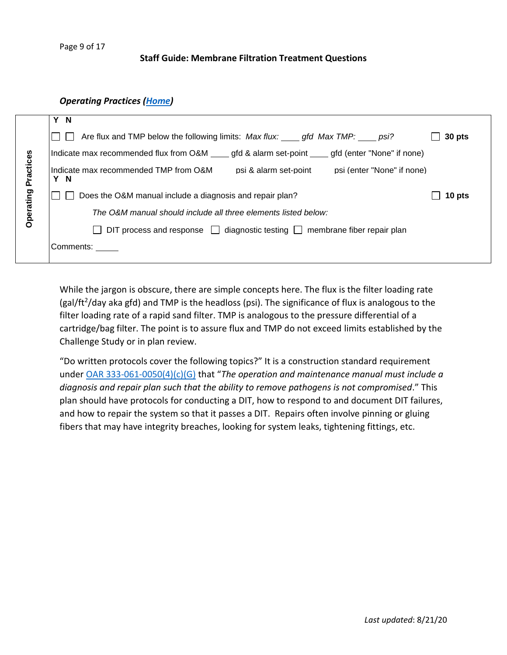#### <span id="page-8-0"></span>*Operating Practices [\(Home\)](#page-1-0)*

|           | Y N                                                                                               |        |  |  |  |  |
|-----------|---------------------------------------------------------------------------------------------------|--------|--|--|--|--|
|           | Are flux and TMP below the following limits: Max flux: gfd Max TMP: psi?<br>$\Box$                | 30 pts |  |  |  |  |
|           | Indicate max recommended flux from O&M ____ gfd & alarm set-point ____ gfd (enter "None" if none) |        |  |  |  |  |
| Practices | Indicate max recommended TMP from O&M<br>psi & alarm set-point psi (enter "None" if none)<br>Y N  |        |  |  |  |  |
|           | Does the O&M manual include a diagnosis and repair plan?<br>$\Box$                                | 10 pts |  |  |  |  |
| Operating | The O&M manual should include all three elements listed below:                                    |        |  |  |  |  |
|           | DIT process and response $\Box$ diagnostic testing $\Box$ membrane fiber repair plan              |        |  |  |  |  |
|           | Comments:                                                                                         |        |  |  |  |  |
|           |                                                                                                   |        |  |  |  |  |

While the jargon is obscure, there are simple concepts here. The flux is the filter loading rate (gal/ft<sup>2</sup>/day aka gfd) and TMP is the headloss (psi). The significance of flux is analogous to the filter loading rate of a rapid sand filter. TMP is analogous to the pressure differential of a cartridge/bag filter. The point is to assure flux and TMP do not exceed limits established by the Challenge Study or in plan review.

"Do written protocols cover the following topics?" It is a construction standard requirement under [OAR 333-061-0050\(4\)\(c\)\(G\)](https://www.oregon.gov/oha/PH/HEALTHYENVIRONMENTS/DRINKINGWATER/RULES/Documents/61-0050.pdf#page=11) that "*The operation and maintenance manual must include a diagnosis and repair plan such that the ability to remove pathogens is not compromised*." This plan should have protocols for conducting a DIT, how to respond to and document DIT failures, and how to repair the system so that it passes a DIT. Repairs often involve pinning or gluing fibers that may have integrity breaches, looking for system leaks, tightening fittings, etc.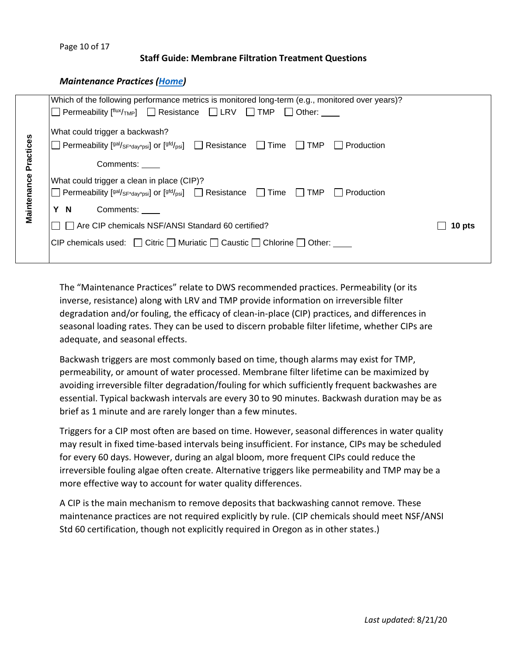#### <span id="page-9-0"></span>*Maintenance Practices [\(Home\)](#page-1-0)*

|                          | Which of the following performance metrics is monitored long-term (e.g., monitored over years)?                                                                                                                                                                                                                                                                                                           |        |
|--------------------------|-----------------------------------------------------------------------------------------------------------------------------------------------------------------------------------------------------------------------------------------------------------------------------------------------------------------------------------------------------------------------------------------------------------|--------|
|                          | Permeability $[$ <sup>flux/</sup> $_{\text{TMP}}$ $\Box$ Resistance $\Box$ LRV $\Box$ TMP $\Box$ Other: ____                                                                                                                                                                                                                                                                                              |        |
| Practices<br>Maintenance | What could trigger a backwash?<br>Permeability $[$ <sup>gal/</sup> sF <sup>+</sup> day <sup>+</sup> psi] or $[$ <sup>gfd/</sup> psi] $\Box$ Resistance $\Box$ Time $\Box$ TMP $\Box$ Production<br>Comments: ____<br>What could trigger a clean in place (CIP)?<br>$\Box$ Permeability [ <sup>gal/</sup> SF*day*psi] or [ <sup>gfd/</sup> psi] $\Box$ Resistance $\Box$ Time $\Box$ TMP $\Box$ Production |        |
|                          | Y N<br>Comments:                                                                                                                                                                                                                                                                                                                                                                                          |        |
|                          | $\Box$ Are CIP chemicals NSF/ANSI Standard 60 certified?                                                                                                                                                                                                                                                                                                                                                  | 10 pts |
|                          | CIP chemicals used: $\Box$ Citric $\Box$ Muriatic $\Box$ Caustic $\Box$ Chlorine $\Box$ Other:                                                                                                                                                                                                                                                                                                            |        |
|                          |                                                                                                                                                                                                                                                                                                                                                                                                           |        |

The "Maintenance Practices" relate to DWS recommended practices. Permeability (or its inverse, resistance) along with LRV and TMP provide information on irreversible filter degradation and/or fouling, the efficacy of clean-in-place (CIP) practices, and differences in seasonal loading rates. They can be used to discern probable filter lifetime, whether CIPs are adequate, and seasonal effects.

Backwash triggers are most commonly based on time, though alarms may exist for TMP, permeability, or amount of water processed. Membrane filter lifetime can be maximized by avoiding irreversible filter degradation/fouling for which sufficiently frequent backwashes are essential. Typical backwash intervals are every 30 to 90 minutes. Backwash duration may be as brief as 1 minute and are rarely longer than a few minutes.

Triggers for a CIP most often are based on time. However, seasonal differences in water quality may result in fixed time-based intervals being insufficient. For instance, CIPs may be scheduled for every 60 days. However, during an algal bloom, more frequent CIPs could reduce the irreversible fouling algae often create. Alternative triggers like permeability and TMP may be a more effective way to account for water quality differences.

A CIP is the main mechanism to remove deposits that backwashing cannot remove. These maintenance practices are not required explicitly by rule. (CIP chemicals should meet NSF/ANSI Std 60 certification, though not explicitly required in Oregon as in other states.)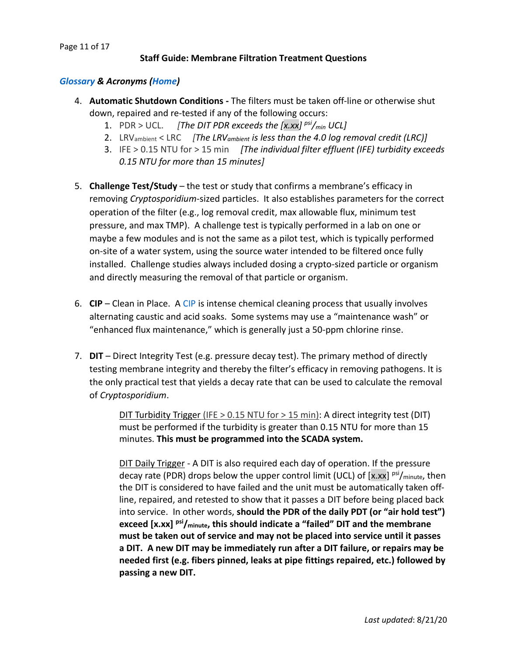# <span id="page-10-0"></span>*[Glossary](https://nepis.epa.gov/Exe/ZyNET.exe/901V0500.TXT?ZyActionD=ZyDocument&Client=EPA&Index=2000+Thru+2005&Docs=&Query=&Time=&EndTime=&SearchMethod=1&TocRestrict=n&Toc=&TocEntry=&QField=&QFieldYear=&QFieldMonth=&QFieldDay=&IntQFieldOp=0&ExtQFieldOp=0&XmlQuery=&File=D%3A%5Czyfiles%5CIndex%20Data%5C00thru05%5CTxt%5C00000012%5C901V0500.txt&User=ANONYMOUS&Password=anonymous&SortMethod=h%7C-&MaximumDocuments=1&FuzzyDegree=0&ImageQuality=r75g8/r75g8/x150y150g16/i425&Display=hpfr&DefSeekPage=x&SearchBack=ZyActionL&Back=ZyActionS&BackDesc=Results%20page&MaximumPages=1&ZyEntry=1&SeekPage=x&ZyPURL) & Acronyms [\(Home\)](#page-1-0)*

- 4. **Automatic Shutdown Conditions -** The filters must be taken off-line or otherwise shut down, repaired and re-tested if any of the following occurs:
	- 1. PDR > UCL. *[The DIT PDR exceeds the [x.xx] psi/min UCL]*
	- 2. LRVambient < LRC *[The LRVambient is less than the 4.0 log removal credit (LRC)]*
	- 3. IFE > 0.15 NTU for > 15 min *[The individual filter effluent (IFE) turbidity exceeds 0.15 NTU for more than 15 minutes]*
- 5. **Challenge Test/Study** the test or study that confirms a membrane's efficacy in removing *Cryptosporidium*-sized particles. It also establishes parameters for the correct operation of the filter (e.g., log removal credit, max allowable flux, minimum test pressure, and max TMP). A challenge test is typically performed in a lab on one or maybe a few modules and is not the same as a pilot test, which is typically performed on-site of a water system, using the source water intended to be filtered once fully installed. Challenge studies always included dosing a crypto-sized particle or organism and directly measuring the removal of that particle or organism.
- 6. **CIP**  Clean in Place. A [CIP](https://nepis.epa.gov/Exe/ZyNET.exe/901V0500.txt?ZyActionD=ZyDocument&Client=EPA&Index=2000%20Thru%202005&Docs=&Query=&Time=&EndTime=&SearchMethod=1&TocRestrict=n&Toc=&TocEntry=&QField=&QFieldYear=&QFieldMonth=&QFieldDay=&UseQField=&IntQFieldOp=0&ExtQFieldOp=0&XmlQuery=&File=D%3A%5CZYFILES%5CINDEX%20DATA%5C00THRU05%5CTXT%5C00000012%5C901V0500.txt&User=ANONYMOUS&Password=anonymous&SortMethod=h%7C-&MaximumDocuments=1&FuzzyDegree=0&ImageQuality=r75g8/r75g8/x150y150g16/i425&Display=hpfr&DefSeekPage=x&SearchBack=ZyActionL&Back=ZyActionS&BackDesc=Results%20page&MaximumPages=1&ZyEntry=239) is intense chemical cleaning process that usually involves alternating caustic and acid soaks. Some systems may use a "maintenance wash" or "enhanced flux maintenance," which is generally just a 50-ppm chlorine rinse.
- 7. **DIT** Direct Integrity Test (e.g. pressure decay test). The primary method of directly testing membrane integrity and thereby the filter's efficacy in removing pathogens. It is the only practical test that yields a decay rate that can be used to calculate the removal of *Cryptosporidium*.

DIT Turbidity Trigger (IFE > 0.15 NTU for > 15 min): A direct integrity test (DIT) must be performed if the turbidity is greater than 0.15 NTU for more than 15 minutes. **This must be programmed into the SCADA system.** 

DIT Daily Trigger - A DIT is also required each day of operation. If the pressure decay rate (PDR) drops below the upper control limit (UCL) of  $[x.xx]$  <sup>psi</sup>/<sub>minute</sub>, then the DIT is considered to have failed and the unit must be automatically taken offline, repaired, and retested to show that it passes a DIT before being placed back into service. In other words, **should the PDR of the daily PDT (or "air hold test") exceed [x.xx] psi/minute, this should indicate a "failed" DIT and the membrane must be taken out of service and may not be placed into service until it passes a DIT. A new DIT may be immediately run after a DIT failure, or repairs may be needed first (e.g. fibers pinned, leaks at pipe fittings repaired, etc.) followed by passing a new DIT.**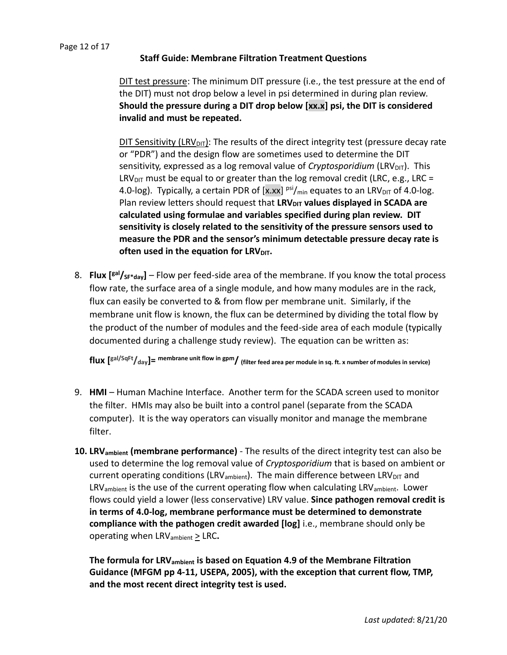#### Page 12 of 17

# **Staff Guide: Membrane Filtration Treatment Questions**

DIT test pressure: The minimum DIT pressure (i.e., the test pressure at the end of the DIT) must not drop below a level in psi determined in during plan review. **Should the pressure during a DIT drop below [xx.x] psi, the DIT is considered invalid and must be repeated.**

DIT Sensitivity (LRV<sub>DIT</sub>): The results of the direct integrity test (pressure decay rate or "PDR") and the design flow are sometimes used to determine the DIT sensitivity, expressed as a log removal value of *Cryptosporidium* (LRV<sub>DIT</sub>). This LRV<sub>DIT</sub> must be equal to or greater than the log removal credit (LRC, e.g., LRC = 4.0-log). Typically, a certain PDR of  $[x,xx]$  psi $/m_{\text{in}}$  equates to an LRV<sub>DIT</sub> of 4.0-log. Plan review letters should request that LRV<sub>DIT</sub> values displayed in SCADA are **calculated using formulae and variables specified during plan review. DIT sensitivity is closely related to the sensitivity of the pressure sensors used to measure the PDR and the sensor's minimum detectable pressure decay rate is often used in the equation for LRV<sub>DIT</sub>.** 

8. **Flux [gal/SF\*day]** – Flow per feed-side area of the membrane. If you know the total process flow rate, the surface area of a single module, and how many modules are in the rack, flux can easily be converted to & from flow per membrane unit. Similarly, if the membrane unit flow is known, the flux can be determined by dividing the total flow by the product of the number of modules and the feed-side area of each module (typically documented during a challenge study review). The equation can be written as:

**flux [ gal/SqFt/day]= membrane unit flow in gpm/ (filter feed area per module in sq. ft. x number of modules in service)** 

- 9. **HMI** Human Machine Interface. Another term for the SCADA screen used to monitor the filter. HMIs may also be built into a control panel (separate from the SCADA computer). It is the way operators can visually monitor and manage the membrane filter.
- **10. LRVambient (membrane performance)** The results of the direct integrity test can also be used to determine the log removal value of *Cryptosporidium* that is based on ambient or current operating conditions (LRV<sub>ambient</sub>). The main difference between LRV<sub>DIT</sub> and  $LRV<sub>ambient</sub>$  is the use of the current operating flow when calculating LRV<sub>ambient</sub>. Lower flows could yield a lower (less conservative) LRV value. **Since pathogen removal credit is in terms of 4.0-log, membrane performance must be determined to demonstrate compliance with the pathogen credit awarded [log]** i.e., membrane should only be operating when LRVambient > LRC**.**

**The formula for LRVambient is based on Equation 4.9 of the Membrane Filtration Guidance (MFGM pp 4-11, USEPA, 2005), with the exception that current flow, TMP, and the most recent direct integrity test is used.**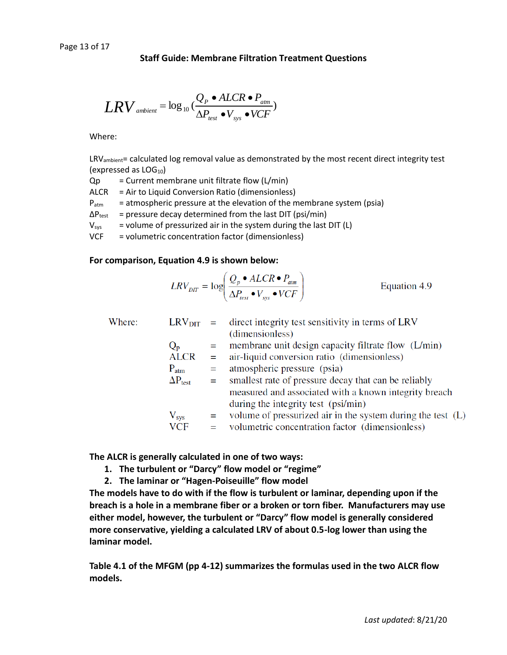$$
LRV_{\text{ambient}} = \log_{10}(\frac{Q_P \cdot ALCR \cdot P_{\text{atm}}}{\Delta P_{\text{test}} \cdot V_{\text{sys}} \cdot VCF})
$$

Where:

LRV<sub>ambient</sub>= calculated log removal value as demonstrated by the most recent direct integrity test (expressed as  $LOG<sub>10</sub>$ )

 $Qp =$  Current membrane unit filtrate flow  $(L/min)$ 

ALCR = Air to Liquid Conversion Ratio (dimensionless)

 $P_{\text{atm}}$  = atmospheric pressure at the elevation of the membrane system (psia)

 $\Delta P_{\text{test}}$  = pressure decay determined from the last DIT (psi/min)

 $V_{sys}$  = volume of pressurized air in the system during the last DIT (L)

VCF = volumetric concentration factor (dimensionless)

#### **For comparison, Equation 4.9 is shown below:**

$$
LRV_{DT} = \log \left( \frac{Q_p \cdot ALCR \cdot P_{\text{atm}}}{\Delta P_{\text{test}} \cdot V_{\text{sys}} \cdot VCF} \right)
$$
 Equation 4.9

|                          |                      | $LRV_{\text{DIT}}$ = direct integrity test sensitivity in terms of LRV |
|--------------------------|----------------------|------------------------------------------------------------------------|
|                          |                      | (dimensionless)                                                        |
|                          | $=$ $-$              | membrane unit design capacity filtrate flow (L/min)                    |
| <b>ALCR</b>              | $\equiv$             | air-liquid conversion ratio (dimensionless)                            |
| $P_{atm}$                | $=$                  | atmospheric pressure (psia)                                            |
| $\Delta P_{\text{test}}$ |                      | = smallest rate of pressure decay that can be reliably                 |
|                          |                      | measured and associated with a known integrity breach                  |
|                          |                      | during the integrity test (psi/min)                                    |
|                          |                      | $=$ volume of pressurized air in the system during the test (L)        |
| <b>VCF</b>               | $=$                  | volumetric concentration factor (dimensionless)                        |
|                          | $Q_{p}$<br>$V_{sys}$ |                                                                        |

**The ALCR is generally calculated in one of two ways:**

- **1. The turbulent or "Darcy" flow model or "regime"**
- **2. The laminar or "Hagen-Poiseuille" flow model**

**The models have to do with if the flow is turbulent or laminar, depending upon if the breach is a hole in a membrane fiber or a broken or torn fiber. Manufacturers may use either model, however, the turbulent or "Darcy" flow model is generally considered more conservative, yielding a calculated LRV of about 0.5-log lower than using the laminar model.**

**Table 4.1 of the MFGM (pp 4-12) summarizes the formulas used in the two ALCR flow models.**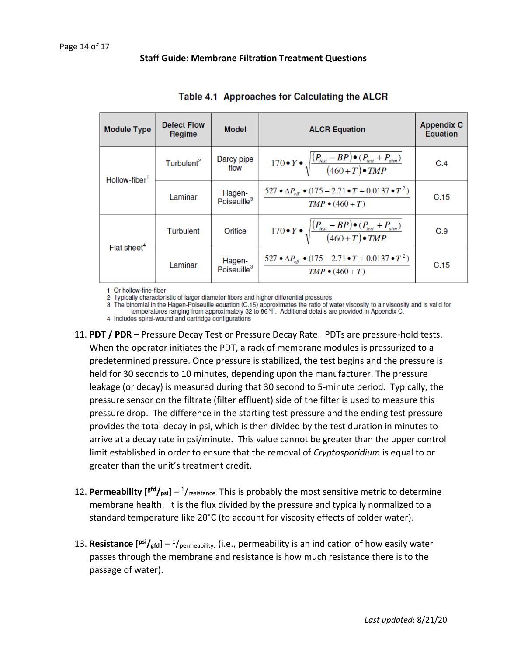| <b>Module Type</b>        | <b>Defect Flow</b><br>Regime | <b>Model</b>                      | <b>ALCR Equation</b>                                                                              | <b>Appendix C</b><br><b>Equation</b> |
|---------------------------|------------------------------|-----------------------------------|---------------------------------------------------------------------------------------------------|--------------------------------------|
| Hollow-fiber <sup>1</sup> | Turbulent <sup>2</sup>       | Darcy pipe<br>flow                | 170 • $Y \bullet \sqrt{\frac{(P_{test} - BP) \bullet (P_{test} + P_{atm})}{(460+T) \bullet TMP}}$ | C.4                                  |
|                           | Laminar                      | Hagen-<br>Poiseuille <sup>3</sup> | 527 • $\Delta P_{\text{eff}}$ • (175 – 2.71 • $T$ + 0.0137 • $T^2$ )<br>$TMP \bullet (460 + T)$   | C.15                                 |
| Flat sheet <sup>4</sup>   | Turbulent                    | Orifice                           | 170 • $Y \bullet \sqrt{\frac{(P_{test} - BP) \bullet (P_{test} + P_{atm})}{(460+T) \bullet TMP}}$ | C.9                                  |
|                           | Laminar                      | Hagen-<br>Poiseuille <sup>3</sup> | 527 • $\Delta P_{\text{eff}}$ • (175 – 2.71 • $T$ + 0.0137 • $T^2$ )<br>$TMP \bullet (460 + T)$   | C.15                                 |

1 Or hollow-fine-fiber

2 Typically characteristic of larger diameter fibers and higher differential pressures

3 The binomial in the Hagen-Poiseuille equation (C.15) approximates the ratio of water viscosity to air viscosity and is valid for temperatures ranging from approximately 32 to 86 °F. Additional details are provided in App

4 Includes spiral-wound and cartridge configurations

- 11. **PDT / PDR** Pressure Decay Test or Pressure Decay Rate. PDTs are pressure-hold tests. When the operator initiates the PDT, a rack of membrane modules is pressurized to a predetermined pressure. Once pressure is stabilized, the test begins and the pressure is held for 30 seconds to 10 minutes, depending upon the manufacturer. The pressure leakage (or decay) is measured during that 30 second to 5-minute period. Typically, the pressure sensor on the filtrate (filter effluent) side of the filter is used to measure this pressure drop. The difference in the starting test pressure and the ending test pressure provides the total decay in psi, which is then divided by the test duration in minutes to arrive at a decay rate in psi/minute. This value cannot be greater than the upper control limit established in order to ensure that the removal of *Cryptosporidium* is equal to or greater than the unit's treatment credit.
- 12. **Permeability [gfd/psi]** 1 /resistance. This is probably the most sensitive metric to determine membrane health. It is the flux divided by the pressure and typically normalized to a standard temperature like 20°C (to account for viscosity effects of colder water).
- 13. **Resistance** [<sup>psi</sup>/<sub>gfd</sub>] <sup>1</sup>/<sub>permeability. (i.e., permeability is an indication of how easily water</sub> passes through the membrane and resistance is how much resistance there is to the passage of water).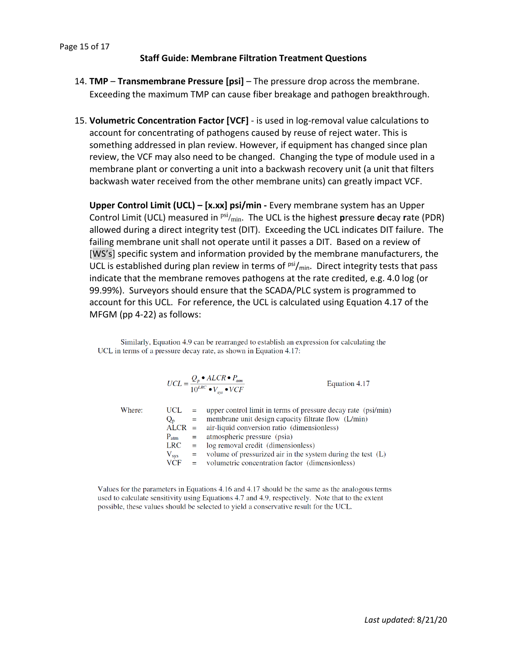- 14. **TMP Transmembrane Pressure [psi]** The pressure drop across the membrane. Exceeding the maximum TMP can cause fiber breakage and pathogen breakthrough.
- 15. **Volumetric Concentration Factor [VCF]** is used in log-removal value calculations to account for concentrating of pathogens caused by reuse of reject water. This is something addressed in plan review. However, if equipment has changed since plan review, the VCF may also need to be changed. Changing the type of module used in a membrane plant or converting a unit into a backwash recovery unit (a unit that filters backwash water received from the other membrane units) can greatly impact VCF.

**Upper Control Limit (UCL) – [x.xx] psi/min -** Every membrane system has an Upper Control Limit (UCL) measured in  $\frac{psi_{\min}}{max}$ . The UCL is the highest **pressure decay rate (PDR)** allowed during a direct integrity test (DIT). Exceeding the UCL indicates DIT failure. The failing membrane unit shall not operate until it passes a DIT. Based on a review of [WS's] specific system and information provided by the membrane manufacturers, the UCL is established during plan review in terms of  $psi/min$ . Direct integrity tests that pass indicate that the membrane removes pathogens at the rate credited, e.g. 4.0 log (or 99.99%). Surveyors should ensure that the SCADA/PLC system is programmed to account for this UCL. For reference, the UCL is calculated using Equation 4.17 of the MFGM (pp 4-22) as follows:

Similarly, Equation 4.9 can be rearranged to establish an expression for calculating the UCL in terms of a pressure decay rate, as shown in Equation 4.17:

$$
UCL = \frac{Q_p \cdot ALCR \cdot P_{\text{arm}}}{10^{LRC} \cdot V_{\text{sys}} \cdot VCF}
$$
 Equation 4.17  
UCL = upper control limit in terms of pressure decay rate (psi)

Where:

|               | UCL $=$ upper control limit in terms of pressure decay rate (psi/min) |
|---------------|-----------------------------------------------------------------------|
| $Q_{\rm n}$   | $=$ membrane unit design capacity filtrate flow (L/min)               |
|               | $ALCR =$ air-liquid conversion ratio (dimensionless)                  |
|               | $P_{\text{atm}}$ = atmospheric pressure (psia)                        |
|               | $LRC = log$ removal credit (dimensionless)                            |
| $V_{\rm sys}$ | $=$ volume of pressurized air in the system during the test (L)       |
| <b>VCF</b>    | = volumetric concentration factor (dimensionless)                     |
|               |                                                                       |

Values for the parameters in Equations 4.16 and 4.17 should be the same as the analogous terms used to calculate sensitivity using Equations 4.7 and 4.9, respectively. Note that to the extent possible, these values should be selected to yield a conservative result for the UCL.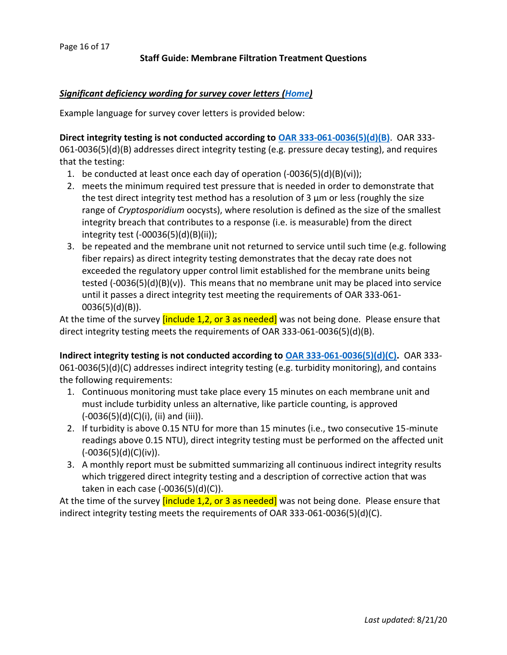# <span id="page-15-0"></span>*Significant deficiency wording for survey cover letters [\(Home\)](#page-1-0)*

Example language for survey cover letters is provided below:

**Direct integrity testing is not conducted according to [OAR 333-061-0036\(5\)\(d\)\(B\)](https://www.oregon.gov/oha/ph/HealthyEnvironments/DrinkingWater/Rules/Documents/61-0036.pdf#page=51)**. OAR 333- 061-0036(5)(d)(B) addresses direct integrity testing (e.g. pressure decay testing), and requires that the testing:

- 1. be conducted at least once each day of operation (-0036(5)(d)(B)(vi));
- 2. meets the minimum required test pressure that is needed in order to demonstrate that the test direct integrity test method has a resolution of 3  $\mu$ m or less (roughly the size range of *Cryptosporidium* oocysts), where resolution is defined as the size of the smallest integrity breach that contributes to a response (i.e. is measurable) from the direct integrity test (-00036(5)(d)(B)(ii));
- 3. be repeated and the membrane unit not returned to service until such time (e.g. following fiber repairs) as direct integrity testing demonstrates that the decay rate does not exceeded the regulatory upper control limit established for the membrane units being tested  $(-0036(5)(d)(B)(v))$ . This means that no membrane unit may be placed into service until it passes a direct integrity test meeting the requirements of OAR 333-061- 0036(5)(d)(B)).

At the time of the survey *[include 1,2, or 3 as needed]* was not being done. Please ensure that direct integrity testing meets the requirements of OAR 333-061-0036(5)(d)(B).

**Indirect integrity testing is not conducted according to [OAR 333-061-0036\(5\)\(d\)\(C\).](https://www.oregon.gov/oha/ph/HealthyEnvironments/DrinkingWater/Rules/Documents/61-0036.pdf#page=53)** OAR 333- 061-0036(5)(d)(C) addresses indirect integrity testing (e.g. turbidity monitoring), and contains the following requirements:

- 1. Continuous monitoring must take place every 15 minutes on each membrane unit and must include turbidity unless an alternative, like particle counting, is approved  $(-0036(5)(d)(C)(i)$ , (ii) and (iii)).
- 2. If turbidity is above 0.15 NTU for more than 15 minutes (i.e., two consecutive 15-minute readings above 0.15 NTU), direct integrity testing must be performed on the affected unit  $(-0036(5)(d)(C)(iv)).$
- 3. A monthly report must be submitted summarizing all continuous indirect integrity results which triggered direct integrity testing and a description of corrective action that was taken in each case (-0036(5)(d)(C)).

At the time of the survey *[include 1,2, or 3 as needed]* was not being done. Please ensure that indirect integrity testing meets the requirements of OAR 333-061-0036(5)(d)(C).